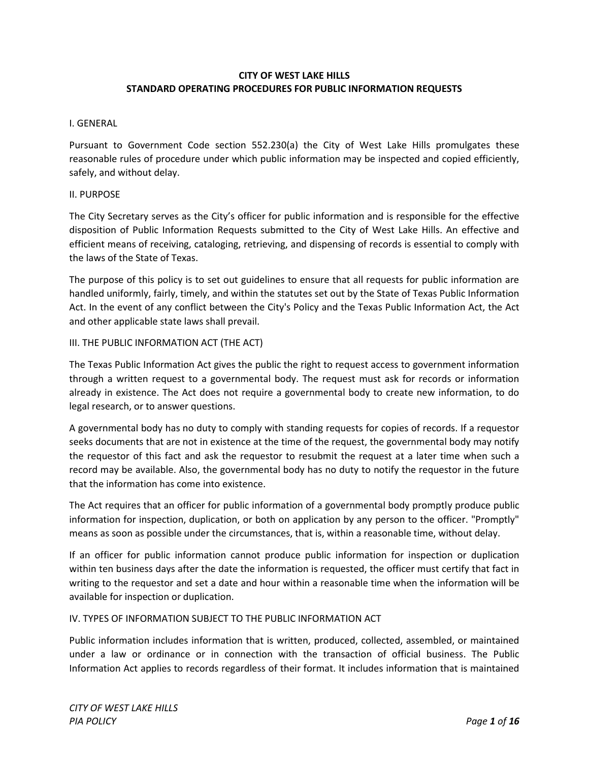#### **CITY OF WEST LAKE HILLS STANDARD OPERATING PROCEDURES FOR PUBLIC INFORMATION REQUESTS**

#### I. GENERAL

Pursuant to Government Code section 552.230(a) the City of West Lake Hills promulgates these reasonable rules of procedure under which public information may be inspected and copied efficiently, safely, and without delay.

#### II. PURPOSE

The City Secretary serves as the City's officer for public information and is responsible for the effective disposition of Public Information Requests submitted to the City of West Lake Hills. An effective and efficient means of receiving, cataloging, retrieving, and dispensing of records is essential to comply with the laws of the State of Texas.

The purpose of this policy is to set out guidelines to ensure that all requests for public information are handled uniformly, fairly, timely, and within the statutes set out by the State of Texas Public Information Act. In the event of any conflict between the City's Policy and the Texas Public Information Act, the Act and other applicable state laws shall prevail.

#### III. THE PUBLIC INFORMATION ACT (THE ACT)

The Texas Public Information Act gives the public the right to request access to government information through a written request to a governmental body. The request must ask for records or information already in existence. The Act does not require a governmental body to create new information, to do legal research, or to answer questions.

A governmental body has no duty to comply with standing requests for copies of records. If a requestor seeks documents that are not in existence at the time of the request, the governmental body may notify the requestor of this fact and ask the requestor to resubmit the request at a later time when such a record may be available. Also, the governmental body has no duty to notify the requestor in the future that the information has come into existence.

The Act requires that an officer for public information of a governmental body promptly produce public information for inspection, duplication, or both on application by any person to the officer. "Promptly" means as soon as possible under the circumstances, that is, within a reasonable time, without delay.

If an officer for public information cannot produce public information for inspection or duplication within ten business days after the date the information is requested, the officer must certify that fact in writing to the requestor and set a date and hour within a reasonable time when the information will be available for inspection or duplication.

#### IV. TYPES OF INFORMATION SUBJECT TO THE PUBLIC INFORMATION ACT

Public information includes information that is written, produced, collected, assembled, or maintained under a law or ordinance or in connection with the transaction of official business. The Public Information Act applies to records regardless of their format. It includes information that is maintained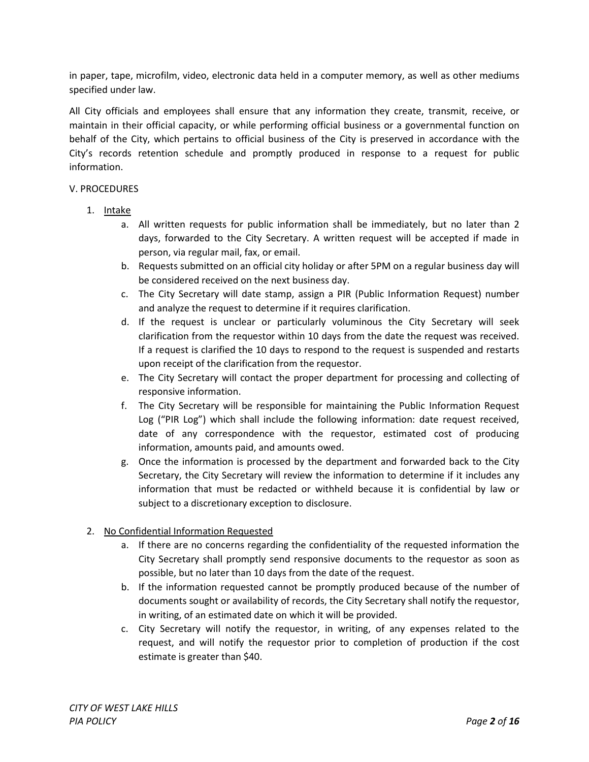in paper, tape, microfilm, video, electronic data held in a computer memory, as well as other mediums specified under law.

All City officials and employees shall ensure that any information they create, transmit, receive, or maintain in their official capacity, or while performing official business or a governmental function on behalf of the City, which pertains to official business of the City is preserved in accordance with the City's records retention schedule and promptly produced in response to a request for public information.

#### V. PROCEDURES

- 1. Intake
	- a. All written requests for public information shall be immediately, but no later than 2 days, forwarded to the City Secretary. A written request will be accepted if made in person, via regular mail, fax, or email.
	- b. Requests submitted on an official city holiday or after 5PM on a regular business day will be considered received on the next business day.
	- c. The City Secretary will date stamp, assign a PIR (Public Information Request) number and analyze the request to determine if it requires clarification.
	- d. If the request is unclear or particularly voluminous the City Secretary will seek clarification from the requestor within 10 days from the date the request was received. If a request is clarified the 10 days to respond to the request is suspended and restarts upon receipt of the clarification from the requestor.
	- e. The City Secretary will contact the proper department for processing and collecting of responsive information.
	- f. The City Secretary will be responsible for maintaining the Public Information Request Log ("PIR Log") which shall include the following information: date request received, date of any correspondence with the requestor, estimated cost of producing information, amounts paid, and amounts owed.
	- g. Once the information is processed by the department and forwarded back to the City Secretary, the City Secretary will review the information to determine if it includes any information that must be redacted or withheld because it is confidential by law or subject to a discretionary exception to disclosure.

# 2. No Confidential Information Requested

- a. If there are no concerns regarding the confidentiality of the requested information the City Secretary shall promptly send responsive documents to the requestor as soon as possible, but no later than 10 days from the date of the request.
- b. If the information requested cannot be promptly produced because of the number of documents sought or availability of records, the City Secretary shall notify the requestor, in writing, of an estimated date on which it will be provided.
- c. City Secretary will notify the requestor, in writing, of any expenses related to the request, and will notify the requestor prior to completion of production if the cost estimate is greater than \$40.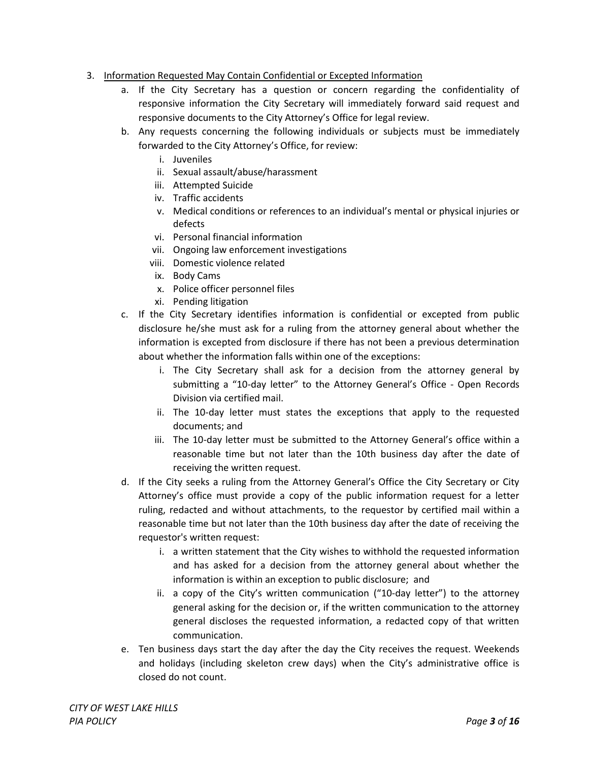- 3. Information Requested May Contain Confidential or Excepted Information
	- a. If the City Secretary has a question or concern regarding the confidentiality of responsive information the City Secretary will immediately forward said request and responsive documents to the City Attorney's Office for legal review.
	- b. Any requests concerning the following individuals or subjects must be immediately forwarded to the City Attorney's Office, for review:
		- i. Juveniles
		- ii. Sexual assault/abuse/harassment
		- iii. Attempted Suicide
		- iv. Traffic accidents
		- v. Medical conditions or references to an individual's mental or physical injuries or defects
		- vi. Personal financial information
		- vii. Ongoing law enforcement investigations
		- viii. Domestic violence related
		- ix. Body Cams
		- x. Police officer personnel files
		- xi. Pending litigation
	- c. If the City Secretary identifies information is confidential or excepted from public disclosure he/she must ask for a ruling from the attorney general about whether the information is excepted from disclosure if there has not been a previous determination about whether the information falls within one of the exceptions:
		- i. The City Secretary shall ask for a decision from the attorney general by submitting a "10-day letter" to the Attorney General's Office - Open Records Division via certified mail.
		- ii. The 10-day letter must states the exceptions that apply to the requested documents; and
		- iii. The 10-day letter must be submitted to the Attorney General's office within a reasonable time but not later than the 10th business day after the date of receiving the written request.
	- d. If the City seeks a ruling from the Attorney General's Office the City Secretary or City Attorney's office must provide a copy of the public information request for a letter ruling, redacted and without attachments, to the requestor by certified mail within a reasonable time but not later than the 10th business day after the date of receiving the requestor's written request:
		- i. a written statement that the City wishes to withhold the requested information and has asked for a decision from the attorney general about whether the information is within an exception to public disclosure; and
		- ii. a copy of the City's written communication ("10-day letter") to the attorney general asking for the decision or, if the written communication to the attorney general discloses the requested information, a redacted copy of that written communication.
	- e. Ten business days start the day after the day the City receives the request. Weekends and holidays (including skeleton crew days) when the City's administrative office is closed do not count.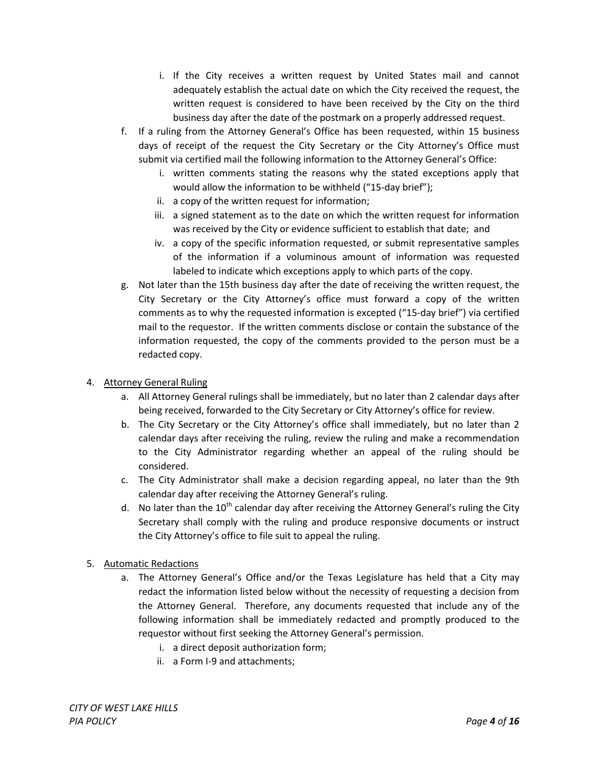- i. If the City receives a written request by United States mail and cannot adequately establish the actual date on which the City received the request, the written request is considered to have been received by the City on the third business day after the date of the postmark on a properly addressed request.
- f. If a ruling from the Attorney General's Office has been requested, within 15 business days of receipt of the request the City Secretary or the City Attorney's Office must submit via certified mail the following information to the Attorney General's Office:
	- i. written comments stating the reasons why the stated exceptions apply that would allow the information to be withheld ("15-day brief");
	- ii. a copy of the written request for information;
	- iii. a signed statement as to the date on which the written request for information was received by the City or evidence sufficient to establish that date; and
	- iv. a copy of the specific information requested, or submit representative samples of the information if a voluminous amount of information was requested labeled to indicate which exceptions apply to which parts of the copy.
- g. Not later than the 15th business day after the date of receiving the written request, the City Secretary or the City Attorney's office must forward a copy of the written comments as to why the requested information is excepted ("15-day brief") via certified mail to the requestor. If the written comments disclose or contain the substance of the information requested, the copy of the comments provided to the person must be a redacted copy.

# 4. Attorney General Ruling

- a. All Attorney General rulings shall be immediately, but no later than 2 calendar days after being received, forwarded to the City Secretary or City Attorney's office for review.
- b. The City Secretary or the City Attorney's office shall immediately, but no later than 2 calendar days after receiving the ruling, review the ruling and make a recommendation to the City Administrator regarding whether an appeal of the ruling should be considered.
- c. The City Administrator shall make a decision regarding appeal, no later than the 9th calendar day after receiving the Attorney General's ruling.
- d. No later than the  $10^{th}$  calendar day after receiving the Attorney General's ruling the City Secretary shall comply with the ruling and produce responsive documents or instruct the City Attorney's office to file suit to appeal the ruling.
- 5. Automatic Redactions
	- a. The Attorney General's Office and/or the Texas Legislature has held that a City may redact the information listed below without the necessity of requesting a decision from the Attorney General. Therefore, any documents requested that include any of the following information shall be immediately redacted and promptly produced to the requestor without first seeking the Attorney General's permission.
		- i. a direct deposit authorization form;
		- ii. a Form I-9 and attachments;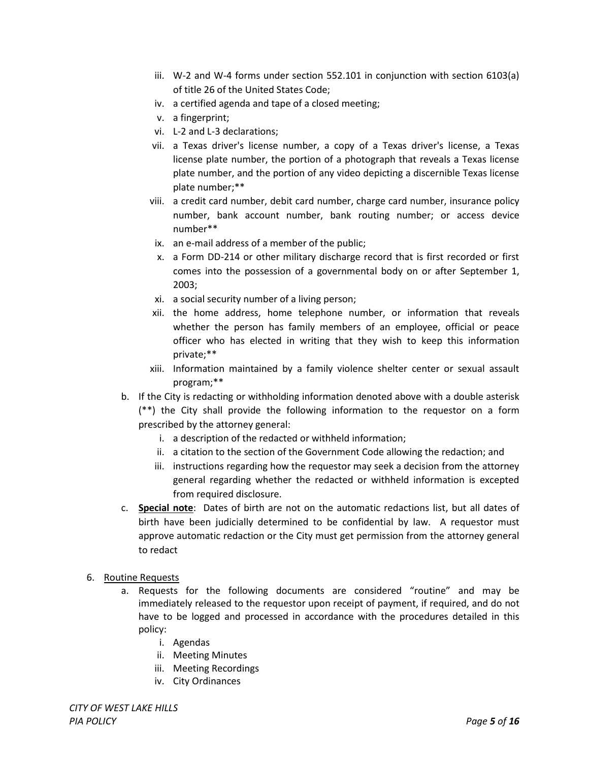- iii. W-2 and W-4 forms under section 552.101 in conjunction with section 6103(a) of title 26 of the United States Code;
- iv. a certified agenda and tape of a closed meeting;
- v. a fingerprint;
- vi. L-2 and L-3 declarations;
- vii. a Texas driver's license number, a copy of a Texas driver's license, a Texas license plate number, the portion of a photograph that reveals a Texas license plate number, and the portion of any video depicting a discernible Texas license plate number;\*\*
- viii. a credit card number, debit card number, charge card number, insurance policy number, bank account number, bank routing number; or access device number\*\*
- ix. an e-mail address of a member of the public;
- x. a Form DD-214 or other military discharge record that is first recorded or first comes into the possession of a governmental body on or after September 1, 2003;
- xi. a social security number of a living person;
- xii. the home address, home telephone number, or information that reveals whether the person has family members of an employee, official or peace officer who has elected in writing that they wish to keep this information private;\*\*
- xiii. Information maintained by a family violence shelter center or sexual assault program;\*\*
- b. If the City is redacting or withholding information denoted above with a double asterisk (\*\*) the City shall provide the following information to the requestor on a form prescribed by the attorney general:
	- i. a description of the redacted or withheld information;
	- ii. a citation to the section of the Government Code allowing the redaction; and
	- iii. instructions regarding how the requestor may seek a decision from the attorney general regarding whether the redacted or withheld information is excepted from required disclosure.
- c. **Special note**: Dates of birth are not on the automatic redactions list, but all dates of birth have been judicially determined to be confidential by law. A requestor must approve automatic redaction or the City must get permission from the attorney general to redact
- 6. Routine Requests
	- a. Requests for the following documents are considered "routine" and may be immediately released to the requestor upon receipt of payment, if required, and do not have to be logged and processed in accordance with the procedures detailed in this policy:
		- i. Agendas
		- ii. Meeting Minutes
		- iii. Meeting Recordings
		- iv. City Ordinances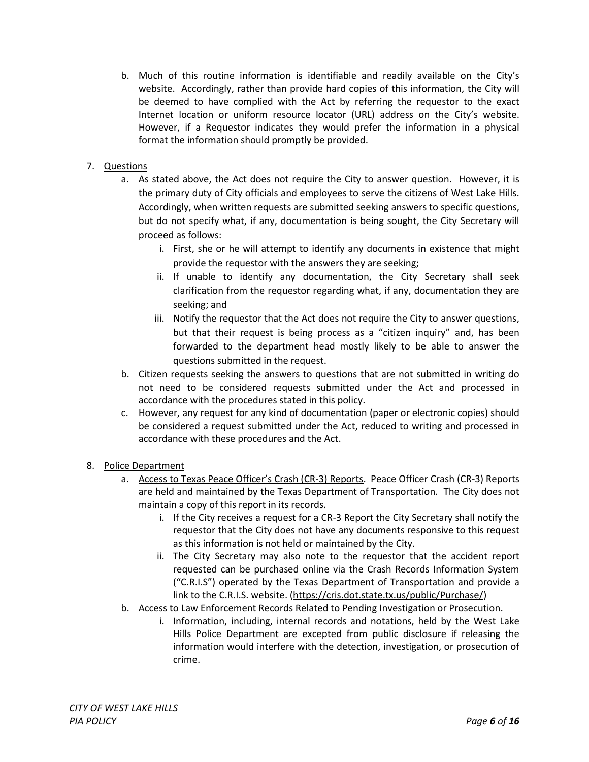b. Much of this routine information is identifiable and readily available on the City's website. Accordingly, rather than provide hard copies of this information, the City will be deemed to have complied with the Act by referring the requestor to the exact Internet location or uniform resource locator (URL) address on the City's website. However, if a Requestor indicates they would prefer the information in a physical format the information should promptly be provided.

# 7. Questions

- a. As stated above, the Act does not require the City to answer question. However, it is the primary duty of City officials and employees to serve the citizens of West Lake Hills. Accordingly, when written requests are submitted seeking answers to specific questions, but do not specify what, if any, documentation is being sought, the City Secretary will proceed as follows:
	- i. First, she or he will attempt to identify any documents in existence that might provide the requestor with the answers they are seeking;
	- ii. If unable to identify any documentation, the City Secretary shall seek clarification from the requestor regarding what, if any, documentation they are seeking; and
	- iii. Notify the requestor that the Act does not require the City to answer questions, but that their request is being process as a "citizen inquiry" and, has been forwarded to the department head mostly likely to be able to answer the questions submitted in the request.
- b. Citizen requests seeking the answers to questions that are not submitted in writing do not need to be considered requests submitted under the Act and processed in accordance with the procedures stated in this policy.
- c. However, any request for any kind of documentation (paper or electronic copies) should be considered a request submitted under the Act, reduced to writing and processed in accordance with these procedures and the Act.

# 8. Police Department

- a. Access to Texas Peace Officer's Crash (CR-3) Reports. Peace Officer Crash (CR-3) Reports are held and maintained by the Texas Department of Transportation. The City does not maintain a copy of this report in its records.
	- i. If the City receives a request for a CR-3 Report the City Secretary shall notify the requestor that the City does not have any documents responsive to this request as this information is not held or maintained by the City.
	- ii. The City Secretary may also note to the requestor that the accident report requested can be purchased online via the Crash Records Information System ("C.R.I.S") operated by the Texas Department of Transportation and provide a link to the C.R.I.S. website. [\(https://cris.dot.state.tx.us/public/Purchase/\)](https://cris.dot.state.tx.us/public/Purchase/)
- b. Access to Law Enforcement Records Related to Pending Investigation or Prosecution.
	- i. Information, including, internal records and notations, held by the West Lake Hills Police Department are excepted from public disclosure if releasing the information would interfere with the detection, investigation, or prosecution of crime.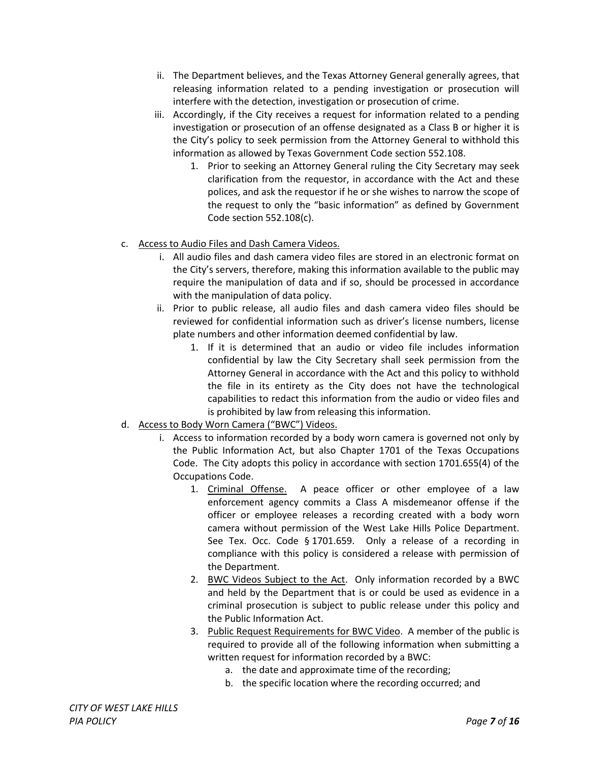- ii. The Department believes, and the Texas Attorney General generally agrees, that releasing information related to a pending investigation or prosecution will interfere with the detection, investigation or prosecution of crime.
- iii. Accordingly, if the City receives a request for information related to a pending investigation or prosecution of an offense designated as a Class B or higher it is the City's policy to seek permission from the Attorney General to withhold this information as allowed by Texas Government Code section 552.108.
	- 1. Prior to seeking an Attorney General ruling the City Secretary may seek clarification from the requestor, in accordance with the Act and these polices, and ask the requestor if he or she wishes to narrow the scope of the request to only the "basic information" as defined by Government Code section 552.108(c).
- c. Access to Audio Files and Dash Camera Videos.
	- i. All audio files and dash camera video files are stored in an electronic format on the City's servers, therefore, making this information available to the public may require the manipulation of data and if so, should be processed in accordance with the manipulation of data policy.
	- ii. Prior to public release, all audio files and dash camera video files should be reviewed for confidential information such as driver's license numbers, license plate numbers and other information deemed confidential by law.
		- 1. If it is determined that an audio or video file includes information confidential by law the City Secretary shall seek permission from the Attorney General in accordance with the Act and this policy to withhold the file in its entirety as the City does not have the technological capabilities to redact this information from the audio or video files and is prohibited by law from releasing this information.
- d. Access to Body Worn Camera ("BWC") Videos.
	- i. Access to information recorded by a body worn camera is governed not only by the Public Information Act, but also Chapter 1701 of the Texas Occupations Code. The City adopts this policy in accordance with section 1701.655(4) of the Occupations Code.
		- 1. Criminal Offense. A peace officer or other employee of a law enforcement agency commits a Class A misdemeanor offense if the officer or employee releases a recording created with a body worn camera without permission of the West Lake Hills Police Department. See Tex. Occ. Code § 1701.659. Only a release of a recording in compliance with this policy is considered a release with permission of the Department.
		- 2. BWC Videos Subject to the Act. Only information recorded by a BWC and held by the Department that is or could be used as evidence in a criminal prosecution is subject to public release under this policy and the Public Information Act.
		- 3. Public Request Requirements for BWC Video. A member of the public is required to provide all of the following information when submitting a written request for information recorded by a BWC:
			- a. the date and approximate time of the recording;
			- b. the specific location where the recording occurred; and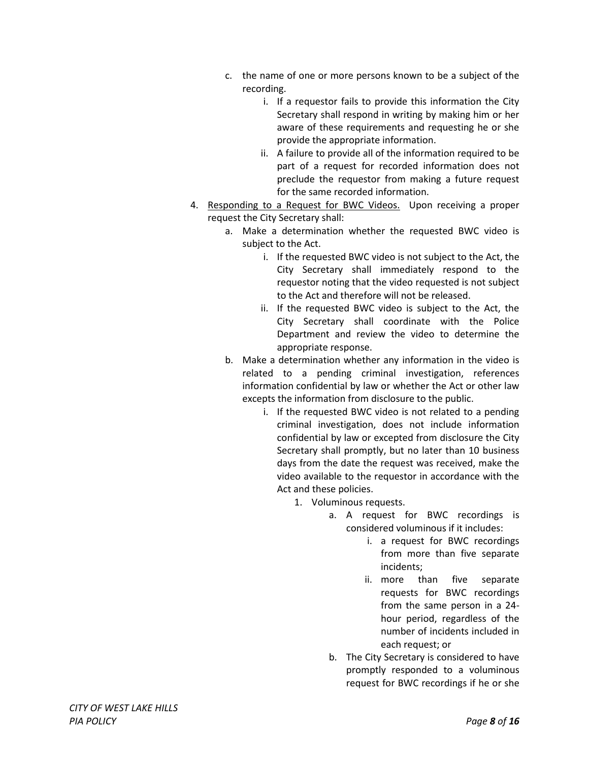- c. the name of one or more persons known to be a subject of the recording.
	- i. If a requestor fails to provide this information the City Secretary shall respond in writing by making him or her aware of these requirements and requesting he or she provide the appropriate information.
	- ii. A failure to provide all of the information required to be part of a request for recorded information does not preclude the requestor from making a future request for the same recorded information.
- 4. Responding to a Request for BWC Videos. Upon receiving a proper request the City Secretary shall:
	- a. Make a determination whether the requested BWC video is subject to the Act.
		- i. If the requested BWC video is not subject to the Act, the City Secretary shall immediately respond to the requestor noting that the video requested is not subject to the Act and therefore will not be released.
		- ii. If the requested BWC video is subject to the Act, the City Secretary shall coordinate with the Police Department and review the video to determine the appropriate response.
	- b. Make a determination whether any information in the video is related to a pending criminal investigation, references information confidential by law or whether the Act or other law excepts the information from disclosure to the public.
		- i. If the requested BWC video is not related to a pending criminal investigation, does not include information confidential by law or excepted from disclosure the City Secretary shall promptly, but no later than 10 business days from the date the request was received, make the video available to the requestor in accordance with the Act and these policies.
			- 1. Voluminous requests.
				- a. A request for BWC recordings is considered voluminous if it includes:
					- i. a request for BWC recordings from more than five separate incidents;
					- ii. more than five separate requests for BWC recordings from the same person in a 24 hour period, regardless of the number of incidents included in each request; or
				- b. The City Secretary is considered to have promptly responded to a voluminous request for BWC recordings if he or she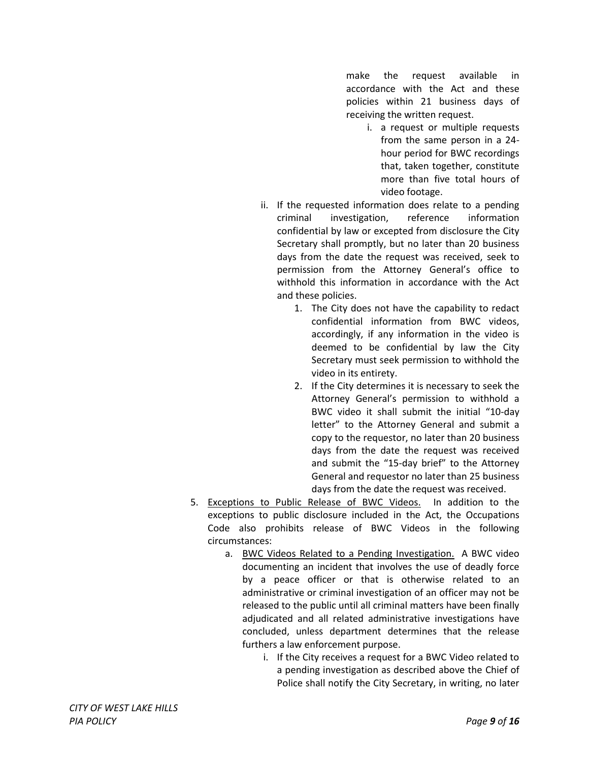make the request available in accordance with the Act and these policies within 21 business days of receiving the written request.

- i. a request or multiple requests from the same person in a 24 hour period for BWC recordings that, taken together, constitute more than five total hours of video footage.
- ii. If the requested information does relate to a pending criminal investigation, reference information confidential by law or excepted from disclosure the City Secretary shall promptly, but no later than 20 business days from the date the request was received, seek to permission from the Attorney General's office to withhold this information in accordance with the Act and these policies.
	- 1. The City does not have the capability to redact confidential information from BWC videos, accordingly, if any information in the video is deemed to be confidential by law the City Secretary must seek permission to withhold the video in its entirety.
	- 2. If the City determines it is necessary to seek the Attorney General's permission to withhold a BWC video it shall submit the initial "10-day letter" to the Attorney General and submit a copy to the requestor, no later than 20 business days from the date the request was received and submit the "15-day brief" to the Attorney General and requestor no later than 25 business days from the date the request was received.
- 5. Exceptions to Public Release of BWC Videos. In addition to the exceptions to public disclosure included in the Act, the Occupations Code also prohibits release of BWC Videos in the following circumstances:
	- a. BWC Videos Related to a Pending Investigation. A BWC video documenting an incident that involves the use of deadly force by a peace officer or that is otherwise related to an administrative or criminal investigation of an officer may not be released to the public until all criminal matters have been finally adjudicated and all related administrative investigations have concluded, unless department determines that the release furthers a law enforcement purpose.
		- i. If the City receives a request for a BWC Video related to a pending investigation as described above the Chief of Police shall notify the City Secretary, in writing, no later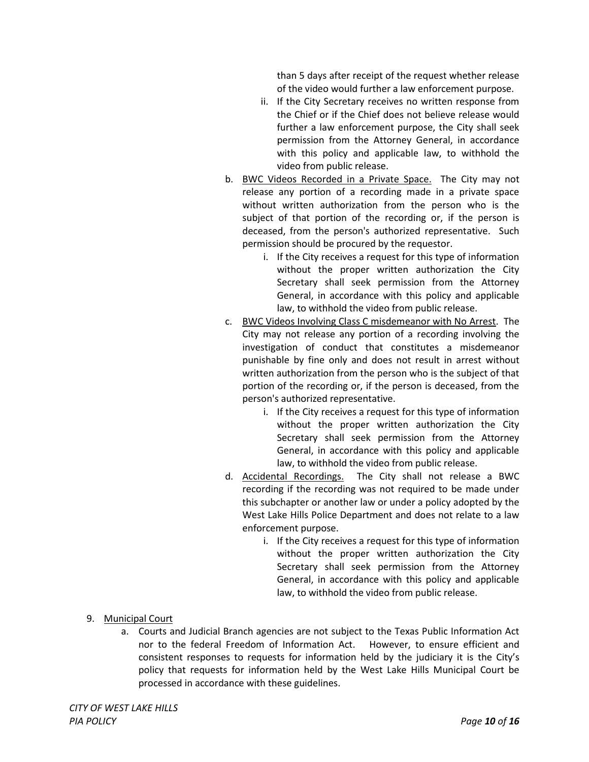than 5 days after receipt of the request whether release of the video would further a law enforcement purpose.

- ii. If the City Secretary receives no written response from the Chief or if the Chief does not believe release would further a law enforcement purpose, the City shall seek permission from the Attorney General, in accordance with this policy and applicable law, to withhold the video from public release.
- b. BWC Videos Recorded in a Private Space. The City may not release any portion of a recording made in a private space without written authorization from the person who is the subject of that portion of the recording or, if the person is deceased, from the person's authorized representative. Such permission should be procured by the requestor.
	- i. If the City receives a request for this type of information without the proper written authorization the City Secretary shall seek permission from the Attorney General, in accordance with this policy and applicable law, to withhold the video from public release.
- c. BWC Videos Involving Class C misdemeanor with No Arrest. The City may not release any portion of a recording involving the investigation of conduct that constitutes a misdemeanor punishable by fine only and does not result in arrest without written authorization from the person who is the subject of that portion of the recording or, if the person is deceased, from the person's authorized representative.
	- i. If the City receives a request for this type of information without the proper written authorization the City Secretary shall seek permission from the Attorney General, in accordance with this policy and applicable law, to withhold the video from public release.
- d. Accidental Recordings. The City shall not release a BWC recording if the recording was not required to be made under this subchapter or another law or under a policy adopted by the West Lake Hills Police Department and does not relate to a law enforcement purpose.
	- i. If the City receives a request for this type of information without the proper written authorization the City Secretary shall seek permission from the Attorney General, in accordance with this policy and applicable law, to withhold the video from public release.

- 9. Municipal Court
	- a. Courts and Judicial Branch agencies are not subject to the Texas Public Information Act nor to the federal Freedom of Information Act. However, to ensure efficient and consistent responses to requests for information held by the judiciary it is the City's policy that requests for information held by the West Lake Hills Municipal Court be processed in accordance with these guidelines.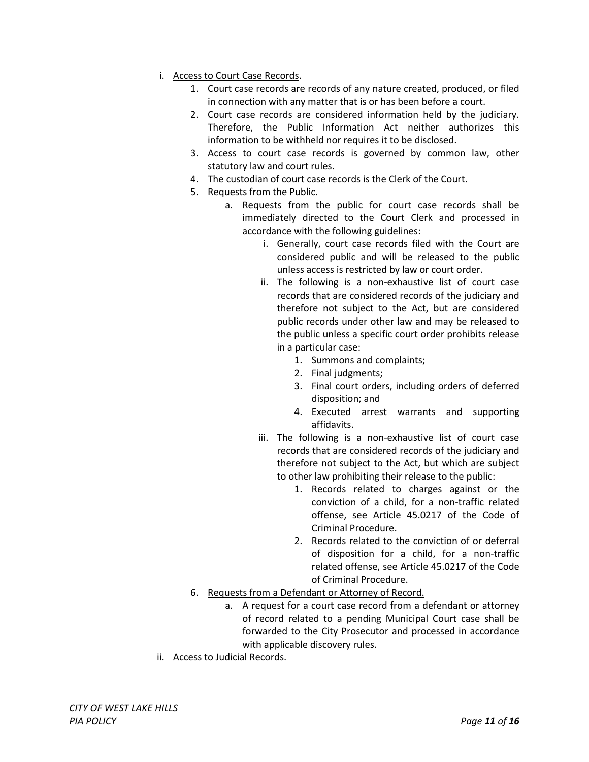- i. Access to Court Case Records.
	- 1. Court case records are records of any nature created, produced, or filed in connection with any matter that is or has been before a court.
	- 2. Court case records are considered information held by the judiciary. Therefore, the Public Information Act neither authorizes this information to be withheld nor requires it to be disclosed.
	- 3. Access to court case records is governed by common law, other statutory law and court rules.
	- 4. The custodian of court case records is the Clerk of the Court.
	- 5. Requests from the Public.
		- a. Requests from the public for court case records shall be immediately directed to the Court Clerk and processed in accordance with the following guidelines:
			- i. Generally, court case records filed with the Court are considered public and will be released to the public unless access is restricted by law or court order.
			- ii. The following is a non-exhaustive list of court case records that are considered records of the judiciary and therefore not subject to the Act, but are considered public records under other law and may be released to the public unless a specific court order prohibits release in a particular case:
				- 1. Summons and complaints;
				- 2. Final judgments;
				- 3. Final court orders, including orders of deferred disposition; and
				- 4. Executed arrest warrants and supporting affidavits.
			- iii. The following is a non-exhaustive list of court case records that are considered records of the judiciary and therefore not subject to the Act, but which are subject to other law prohibiting their release to the public:
				- 1. Records related to charges against or the conviction of a child, for a non-traffic related offense, see Article 45.0217 of the Code of Criminal Procedure.
				- 2. Records related to the conviction of or deferral of disposition for a child, for a non-traffic related offense, see Article 45.0217 of the Code of Criminal Procedure.
	- 6. Requests from a Defendant or Attorney of Record.
		- a. A request for a court case record from a defendant or attorney of record related to a pending Municipal Court case shall be forwarded to the City Prosecutor and processed in accordance with applicable discovery rules.
- ii. Access to Judicial Records.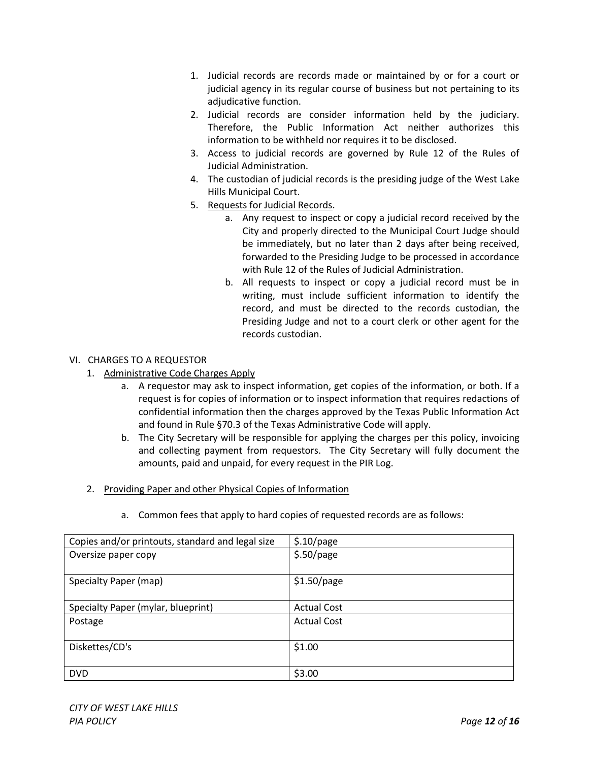- 1. Judicial records are records made or maintained by or for a court or judicial agency in its regular course of business but not pertaining to its adjudicative function.
- 2. Judicial records are consider information held by the judiciary. Therefore, the Public Information Act neither authorizes this information to be withheld nor requires it to be disclosed.
- 3. Access to judicial records are governed by Rule 12 of the Rules of Judicial Administration.
- 4. The custodian of judicial records is the presiding judge of the West Lake Hills Municipal Court.
- 5. Requests for Judicial Records.
	- a. Any request to inspect or copy a judicial record received by the City and properly directed to the Municipal Court Judge should be immediately, but no later than 2 days after being received, forwarded to the Presiding Judge to be processed in accordance with Rule 12 of the Rules of Judicial Administration.
	- b. All requests to inspect or copy a judicial record must be in writing, must include sufficient information to identify the record, and must be directed to the records custodian, the Presiding Judge and not to a court clerk or other agent for the records custodian.

# VI. CHARGES TO A REQUESTOR

- 1. Administrative Code Charges Apply
	- a. A requestor may ask to inspect information, get copies of the information, or both. If a request is for copies of information or to inspect information that requires redactions of confidential information then the charges approved by the Texas Public Information Act and found in Rule §70.3 of the Texas Administrative Code will apply.
	- b. The City Secretary will be responsible for applying the charges per this policy, invoicing and collecting payment from requestors. The City Secretary will fully document the amounts, paid and unpaid, for every request in the PIR Log.
- 2. Providing Paper and other Physical Copies of Information

| Copies and/or printouts, standard and legal size | \$.10/page         |
|--------------------------------------------------|--------------------|
| Oversize paper copy                              | \$.50/page         |
|                                                  |                    |
| Specialty Paper (map)                            | $$1.50$ /page      |
|                                                  |                    |
| Specialty Paper (mylar, blueprint)               | <b>Actual Cost</b> |
| Postage                                          | <b>Actual Cost</b> |
| Diskettes/CD's                                   | \$1.00             |
|                                                  |                    |
| <b>DVD</b>                                       | \$3.00             |

a. Common fees that apply to hard copies of requested records are as follows: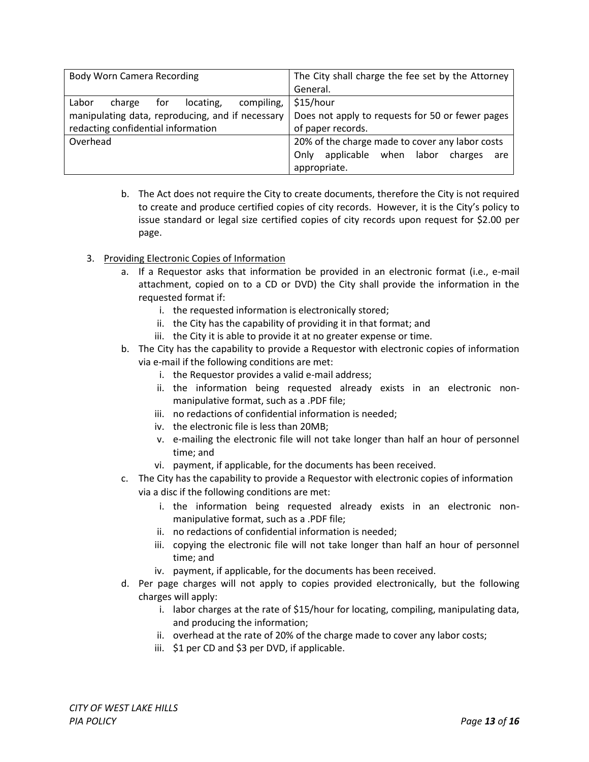| <b>Body Worn Camera Recording</b>                 | The City shall charge the fee set by the Attorney  |
|---------------------------------------------------|----------------------------------------------------|
|                                                   | General.                                           |
| Labor<br>locating,<br>compiling,<br>for<br>charge | \$15/hour                                          |
| manipulating data, reproducing, and if necessary  | Does not apply to requests for 50 or fewer pages   |
| redacting confidential information                | of paper records.                                  |
| Overhead                                          | 20% of the charge made to cover any labor costs    |
|                                                   | applicable when<br>labor<br>charges<br>Only<br>are |
|                                                   | appropriate.                                       |

- b. The Act does not require the City to create documents, therefore the City is not required to create and produce certified copies of city records. However, it is the City's policy to issue standard or legal size certified copies of city records upon request for \$2.00 per page.
- 3. Providing Electronic Copies of Information
	- a. If a Requestor asks that information be provided in an electronic format (i.e., e-mail attachment, copied on to a CD or DVD) the City shall provide the information in the requested format if:
		- i. the requested information is electronically stored;
		- ii. the City has the capability of providing it in that format; and
		- iii. the City it is able to provide it at no greater expense or time.
	- b. The City has the capability to provide a Requestor with electronic copies of information via e-mail if the following conditions are met:
		- i. the Requestor provides a valid e-mail address;
		- ii. the information being requested already exists in an electronic nonmanipulative format, such as a .PDF file;
		- iii. no redactions of confidential information is needed;
		- iv. the electronic file is less than 20MB;
		- v. e-mailing the electronic file will not take longer than half an hour of personnel time; and
		- vi. payment, if applicable, for the documents has been received.
	- c. The City has the capability to provide a Requestor with electronic copies of information via a disc if the following conditions are met:
		- i. the information being requested already exists in an electronic nonmanipulative format, such as a .PDF file;
		- ii. no redactions of confidential information is needed;
		- iii. copying the electronic file will not take longer than half an hour of personnel time; and
		- iv. payment, if applicable, for the documents has been received.
	- d. Per page charges will not apply to copies provided electronically, but the following charges will apply:
		- i. labor charges at the rate of \$15/hour for locating, compiling, manipulating data, and producing the information;
		- ii. overhead at the rate of 20% of the charge made to cover any labor costs;
		- iii. \$1 per CD and \$3 per DVD, if applicable.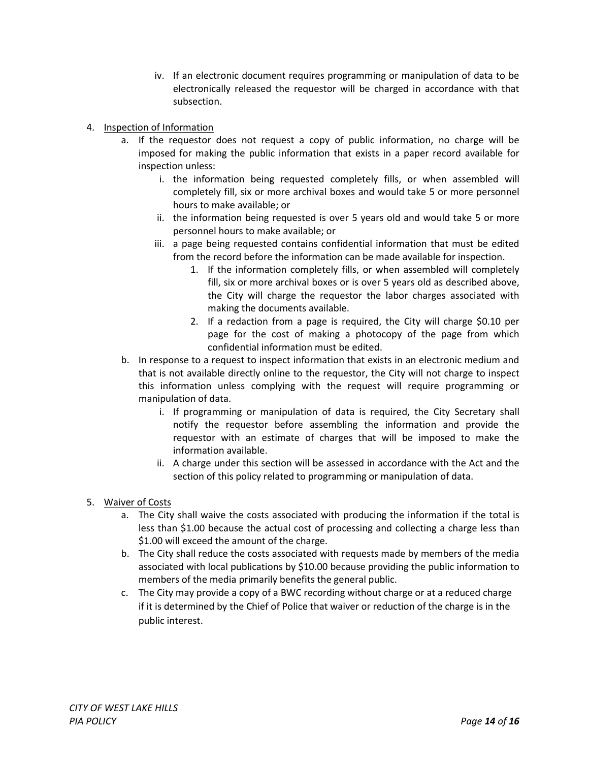- iv. If an electronic document requires programming or manipulation of data to be electronically released the requestor will be charged in accordance with that subsection.
- 4. Inspection of Information
	- a. If the requestor does not request a copy of public information, no charge will be imposed for making the public information that exists in a paper record available for inspection unless:
		- i. the information being requested completely fills, or when assembled will completely fill, six or more archival boxes and would take 5 or more personnel hours to make available; or
		- ii. the information being requested is over 5 years old and would take 5 or more personnel hours to make available; or
		- iii. a page being requested contains confidential information that must be edited from the record before the information can be made available for inspection.
			- 1. If the information completely fills, or when assembled will completely fill, six or more archival boxes or is over 5 years old as described above, the City will charge the requestor the labor charges associated with making the documents available.
			- 2. If a redaction from a page is required, the City will charge \$0.10 per page for the cost of making a photocopy of the page from which confidential information must be edited.
	- b. In response to a request to inspect information that exists in an electronic medium and that is not available directly online to the requestor, the City will not charge to inspect this information unless complying with the request will require programming or manipulation of data.
		- i. If programming or manipulation of data is required, the City Secretary shall notify the requestor before assembling the information and provide the requestor with an estimate of charges that will be imposed to make the information available.
		- ii. A charge under this section will be assessed in accordance with the Act and the section of this policy related to programming or manipulation of data.
- 5. Waiver of Costs
	- a. The City shall waive the costs associated with producing the information if the total is less than \$1.00 because the actual cost of processing and collecting a charge less than \$1.00 will exceed the amount of the charge.
	- b. The City shall reduce the costs associated with requests made by members of the media associated with local publications by \$10.00 because providing the public information to members of the media primarily benefits the general public.
	- c. The City may provide a copy of a BWC recording without charge or at a reduced charge if it is determined by the Chief of Police that waiver or reduction of the charge is in the public interest.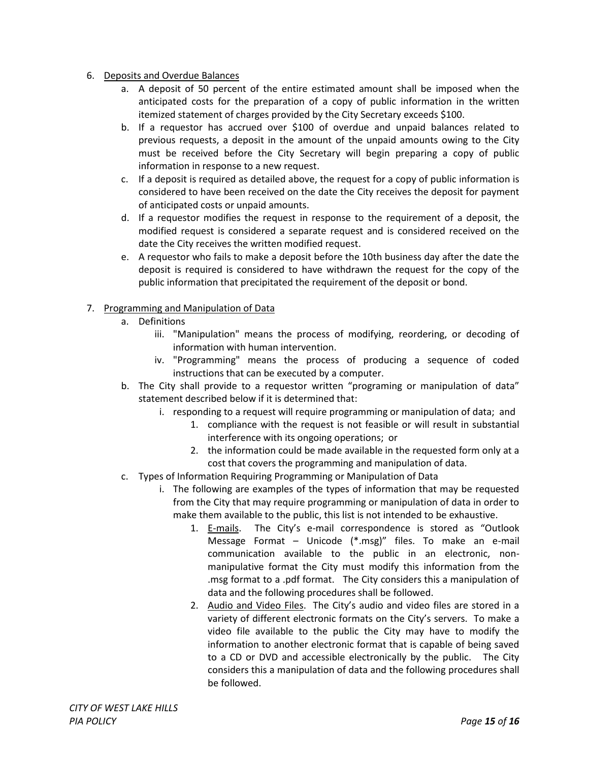- 6. Deposits and Overdue Balances
	- a. A deposit of 50 percent of the entire estimated amount shall be imposed when the anticipated costs for the preparation of a copy of public information in the written itemized statement of charges provided by the City Secretary exceeds \$100.
	- b. If a requestor has accrued over \$100 of overdue and unpaid balances related to previous requests, a deposit in the amount of the unpaid amounts owing to the City must be received before the City Secretary will begin preparing a copy of public information in response to a new request.
	- c. If a deposit is required as detailed above, the request for a copy of public information is considered to have been received on the date the City receives the deposit for payment of anticipated costs or unpaid amounts.
	- d. If a requestor modifies the request in response to the requirement of a deposit, the modified request is considered a separate request and is considered received on the date the City receives the written modified request.
	- e. A requestor who fails to make a deposit before the 10th business day after the date the deposit is required is considered to have withdrawn the request for the copy of the public information that precipitated the requirement of the deposit or bond.

# 7. Programming and Manipulation of Data

# a. Definitions

- iii. "Manipulation" means the process of modifying, reordering, or decoding of information with human intervention.
- iv. "Programming" means the process of producing a sequence of coded instructions that can be executed by a computer.
- b. The City shall provide to a requestor written "programing or manipulation of data" statement described below if it is determined that:
	- i. responding to a request will require programming or manipulation of data; and
		- 1. compliance with the request is not feasible or will result in substantial interference with its ongoing operations; or
		- 2. the information could be made available in the requested form only at a cost that covers the programming and manipulation of data.
- c. Types of Information Requiring Programming or Manipulation of Data
	- i. The following are examples of the types of information that may be requested from the City that may require programming or manipulation of data in order to make them available to the public, this list is not intended to be exhaustive.
		- 1. E-mails. The City's e-mail correspondence is stored as "Outlook Message Format – Unicode (\*.msg)" files. To make an e-mail communication available to the public in an electronic, nonmanipulative format the City must modify this information from the .msg format to a .pdf format. The City considers this a manipulation of data and the following procedures shall be followed.
		- 2. Audio and Video Files. The City's audio and video files are stored in a variety of different electronic formats on the City's servers. To make a video file available to the public the City may have to modify the information to another electronic format that is capable of being saved to a CD or DVD and accessible electronically by the public. The City considers this a manipulation of data and the following procedures shall be followed.